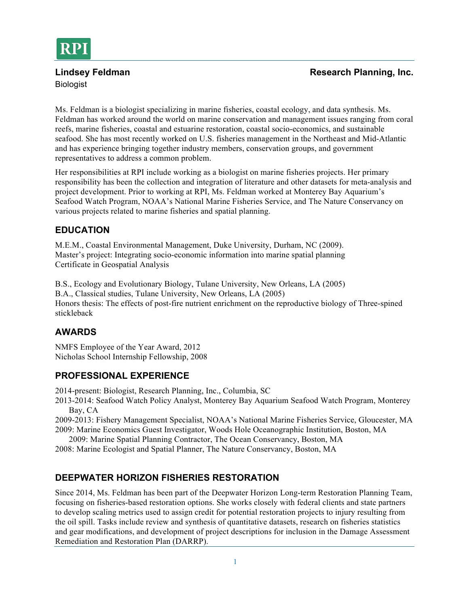

# Biologist

#### **Lindsey Feldman Research Planning, Inc. Research Planning, Inc.**

Ms. Feldman is a biologist specializing in marine fisheries, coastal ecology, and data synthesis. Ms. Feldman has worked around the world on marine conservation and management issues ranging from coral reefs, marine fisheries, coastal and estuarine restoration, coastal socio-economics, and sustainable seafood. She has most recently worked on U.S. fisheries management in the Northeast and Mid-Atlantic and has experience bringing together industry members, conservation groups, and government representatives to address a common problem.

Her responsibilities at RPI include working as a biologist on marine fisheries projects. Her primary responsibility has been the collection and integration of literature and other datasets for meta-analysis and project development. Prior to working at RPI, Ms. Feldman worked at Monterey Bay Aquarium's Seafood Watch Program, NOAA's National Marine Fisheries Service, and The Nature Conservancy on various projects related to marine fisheries and spatial planning.

## **EDUCATION**

M.E.M., Coastal Environmental Management, Duke University, Durham, NC (2009). Master's project: Integrating socio-economic information into marine spatial planning Certificate in Geospatial Analysis

B.S., Ecology and Evolutionary Biology, Tulane University, New Orleans, LA (2005) B.A., Classical studies, Tulane University, New Orleans, LA (2005) Honors thesis: The effects of post-fire nutrient enrichment on the reproductive biology of Three-spined stickleback

## **AWARDS**

NMFS Employee of the Year Award, 2012 Nicholas School Internship Fellowship, 2008

## **PROFESSIONAL EXPERIENCE**

2014-present: Biologist, Research Planning, Inc., Columbia, SC

2013-2014: Seafood Watch Policy Analyst, Monterey Bay Aquarium Seafood Watch Program, Monterey Bay, CA

2009-2013: Fishery Management Specialist, NOAA's National Marine Fisheries Service, Gloucester, MA 2009: Marine Economics Guest Investigator, Woods Hole Oceanographic Institution, Boston, MA

2009: Marine Spatial Planning Contractor, The Ocean Conservancy, Boston, MA

2008: Marine Ecologist and Spatial Planner, The Nature Conservancy, Boston, MA

## **DEEPWATER HORIZON FISHERIES RESTORATION**

Since 2014, Ms. Feldman has been part of the Deepwater Horizon Long-term Restoration Planning Team, focusing on fisheries-based restoration options. She works closely with federal clients and state partners to develop scaling metrics used to assign credit for potential restoration projects to injury resulting from the oil spill. Tasks include review and synthesis of quantitative datasets, research on fisheries statistics and gear modifications, and development of project descriptions for inclusion in the Damage Assessment Remediation and Restoration Plan (DARRP).